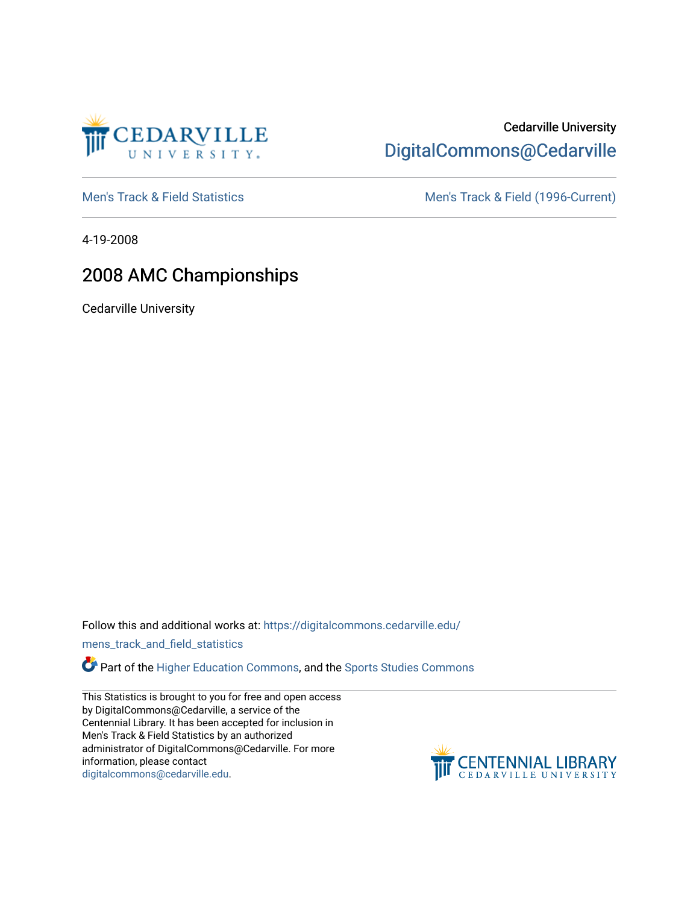

# Cedarville University [DigitalCommons@Cedarville](https://digitalcommons.cedarville.edu/)

[Men's Track & Field Statistics](https://digitalcommons.cedarville.edu/mens_track_and_field_statistics) [Men's Track & Field \(1996-Current\)](https://digitalcommons.cedarville.edu/mens_track_and_field) 

4-19-2008

## 2008 AMC Championships

Cedarville University

Follow this and additional works at: [https://digitalcommons.cedarville.edu/](https://digitalcommons.cedarville.edu/mens_track_and_field_statistics?utm_source=digitalcommons.cedarville.edu%2Fmens_track_and_field_statistics%2F203&utm_medium=PDF&utm_campaign=PDFCoverPages)

[mens\\_track\\_and\\_field\\_statistics](https://digitalcommons.cedarville.edu/mens_track_and_field_statistics?utm_source=digitalcommons.cedarville.edu%2Fmens_track_and_field_statistics%2F203&utm_medium=PDF&utm_campaign=PDFCoverPages)

**Part of the [Higher Education Commons,](http://network.bepress.com/hgg/discipline/1245?utm_source=digitalcommons.cedarville.edu%2Fmens_track_and_field_statistics%2F203&utm_medium=PDF&utm_campaign=PDFCoverPages) and the Sports Studies Commons** 

This Statistics is brought to you for free and open access by DigitalCommons@Cedarville, a service of the Centennial Library. It has been accepted for inclusion in Men's Track & Field Statistics by an authorized administrator of DigitalCommons@Cedarville. For more information, please contact [digitalcommons@cedarville.edu](mailto:digitalcommons@cedarville.edu).

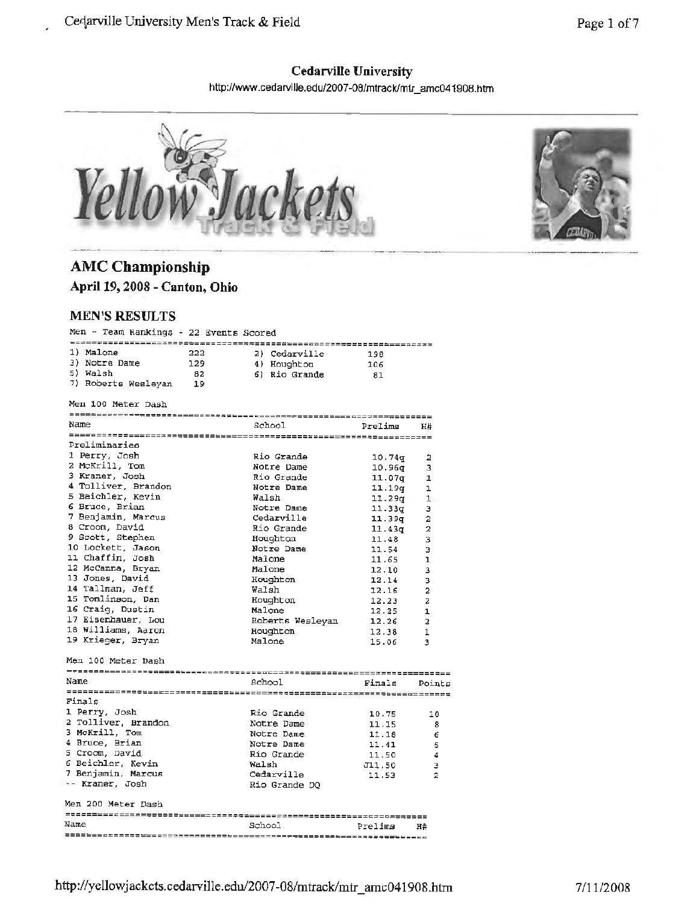## **Cedarville University**

http://www.cedarville.edu/2007-08/mtrack/mir \_ amc041908 .htm



# **AMC Championship**

**April 19, 2008 - Canton, Ohio** 

### **MEN'S RESULTS**

| Men - Team Rankings - 22 Events Scored |                  |                    |                |
|----------------------------------------|------------------|--------------------|----------------|
| 1) Malone<br>222                       | 2) Cedarville    | 198                |                |
| 3) Notre Dame<br>129                   | 4) Houghton      | 106                |                |
| 5) Walsh<br>- 82                       | 6) Rio Grande    | 81                 |                |
| 7) Roberts Wesleyan<br>-19             |                  |                    |                |
|                                        |                  |                    |                |
| Men 100 Meter Dash                     |                  |                    |                |
| Name                                   | School           | Prelims            | H#             |
|                                        |                  |                    |                |
| Preliminaries                          |                  |                    |                |
| 1 Perry, Josh                          | Rio Grande       | 10.74 <sub>q</sub> | 2              |
| 2 McKrill, Tom                         | Notre Dame       | 10.96q             | 3              |
| 3 Kraner, Josh                         | Rio Grande       | 11.07q             | 1              |
| 4 Tolliver, Brandon                    | Notre Dame       | 11.19q             | $\mathbf{1}$   |
| 5 Beichler, Kevin                      | Walsh            | 11.29q             | 1              |
| 6 Bruce, Brian                         | Notre Dame       | 11.33q             | з              |
| 7 Benjamin, Marcus                     | Cedarville       |                    |                |
| 8 Croom, David                         | Rio Grande       | 11.39q             | 2<br>2         |
| 9 Scott, Stephen                       | Houghton         | 11.43g             |                |
| 10 Lockett, Jason                      | Notre Dame       | 11.48              | 3              |
| 11 Chaffin, Josh                       | Malone           | 11.54              | з              |
| 12 McCanna, Bryan                      |                  | 11.65              | $\mathbf{1}$   |
| 13 Jones, David                        | Malone           | 12.10              | 3              |
| 14 Tallman, Jeff                       | Houghton         | 12.14              | з              |
|                                        | Walsh            | 12.16              | $\overline{a}$ |
| 15 Tomlinson, Dan                      | Houghton         | 12.23              | 2              |
| 16 Craig, Dustin                       | Malone           | 12.25              | $\mathbf{1}$   |
| 17 Eisenhauer, Lou                     | Roberts Wesleyan | 12.26              | $\overline{a}$ |
| 18 Williams, Aaron                     | Houghton         | 12.38              | 1              |
| 19 Krieger, Bryan                      | Malone           | 15.06              | Э              |
| Men 100 Meter Dash                     |                  |                    |                |
| Name                                   | School           | Finals             | Points         |
|                                        |                  |                    |                |
| Finals                                 |                  |                    |                |
| 1 Perry, Josh                          | Rio Grande       | 10.75              | 10             |
| 2 Tolliver, Brandon                    | Notre Dame       | 11.15              | 8              |
| 3 McKrill, Tom                         | Notre Dame       | 11.18              | 6              |
| 4 Bruce, Brian                         | Notre Dame       | 11.41              | 5              |
| 5 Croom, David                         | Rio Grande       | 11.50              | 4              |
| 6 Beichler, Kevin                      | Walsh            | J11,50             | э              |
| 7 Benjamin, Marcus                     | Cedarville       | 11.53              | 2              |
| -- Kraner, Josh                        | Rio Grande DQ    |                    |                |
|                                        |                  |                    |                |
| Men 200 Meter Dash                     |                  |                    |                |
| Name                                   | School           | Prelims            | H#             |
|                                        |                  |                    |                |
|                                        |                  |                    |                |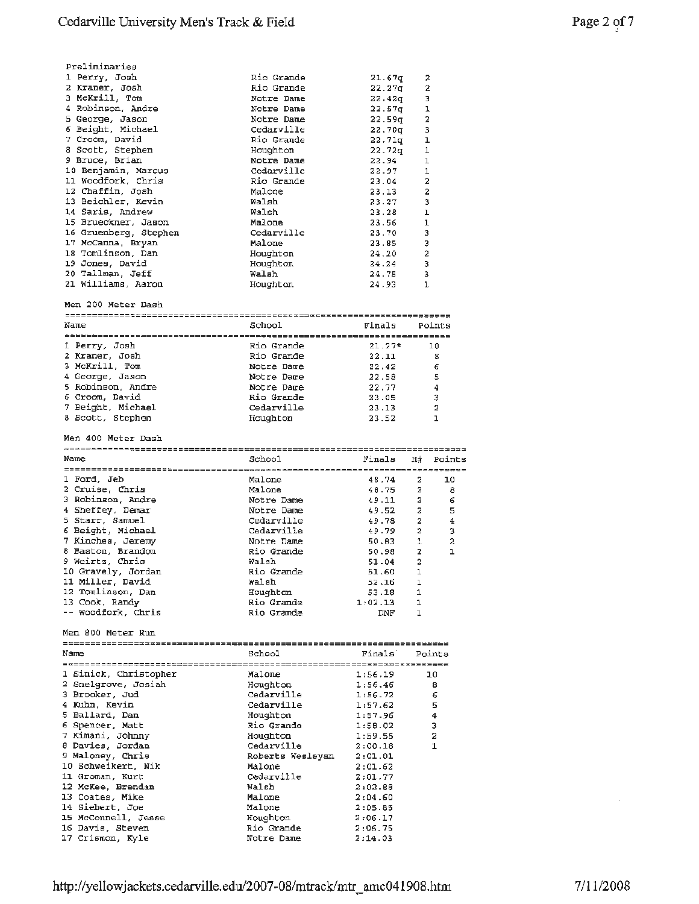| Preliminaries         |            |               |                         |
|-----------------------|------------|---------------|-------------------------|
| 1 Perry, Josh         | Rio Grande | 21.67g        | 2                       |
| 2 Kraner, Josh        | Rio Grande | $22.27$ g     | 2                       |
| 3 McKrill, Tom        | Notre Dame | 22.42q        | 3                       |
| 4 Robinson, Andre     | Notre Dame | 22.57q        | 1                       |
| 5 George, Jason       | Notre Dame | $22.59$ g $-$ | $\overline{\mathbf{2}}$ |
| 6 Beight, Michael     | Cedarville | 22.70g        | 3                       |
| 7 Croom, David        | Rio Grande | 22.71q        | ı                       |
| 8 Scott, Stephen      | Houghton   | 22.72g        | 1                       |
| 9 Bruce, Brian        | Notre Dame | 22.94         | $\mathbf 1$             |
| 10 Benjamin, Marcus   | Cedarville | 22.97         | $\mathbf{1}$            |
| 11 Woodfork, Chris    | Rio Grande | 23.04         | $\overline{a}$          |
| 12 Chaffin, Josh      | Malone     | 23.13         | $\overline{\mathbf{2}}$ |
| 13 Beichler, Kevin    | Walsh      | 23.27         | 3                       |
| 14 Saris, Andrew      | Walsh      | 23.28         | ı                       |
| 15 Brueckner, Jason   | Malone     | 23.56         | $\mathbf{1}$            |
| 16 Gruenberg, Stephen | Cedarville | 23.70         | 3                       |
| 17 McCanna, Bryan     | Malone     | 23.85         | 3                       |
| 18 Tomlinson, Dan     | Houghton   | 24.20         | $\overline{2}$          |
| 19 Jones, David       | Houghton   | 24.24         | з                       |
| 20 Tallman, Jeff      | Walsh      | 24.75         | 3                       |
| 21 Williams, Aaron    | Houghton   | 24.93         | 1                       |

Men 200 Meter Dash

| Name              | School     | Finals   | Points |  |
|-------------------|------------|----------|--------|--|
| ---------------   |            |          |        |  |
| 1 Perry, Josh     | Rio Grande | $21.27*$ | 10     |  |
| 2 Kraner, Josh    | Rio Grande | 22.11    | з      |  |
| 3 McKrill, Tom    | Notre Dame | 22.42    | 6      |  |
| 4 George, Jason   | Notre Dame | 22.58    | 5      |  |
| 5 Robinson, Andre | Notre Dame | 22.77    | 4      |  |
| 6 Croom, David    | Rio Grande | 23.05    | 3      |  |
| 7 Beight, Michael | Cedarville | 23.13    | 2      |  |
| 8 Scott, Stephen  | Houghton   | 23.52    |        |  |
|                   |            |          |        |  |

Men 400 Meter Dash

| Name               | School     | Finals  | н#             | Points |  |
|--------------------|------------|---------|----------------|--------|--|
|                    |            |         |                |        |  |
| 1 Ford, Jeb        | Malone     | 48.74   | 2              | 10     |  |
| 2 Cruise, Chris    | Malone     | 48.75   | $\overline{2}$ | 8      |  |
| 3 Robinson, Andre  | Notre Dame | 49.11   | $\overline{a}$ | 6      |  |
| 4 Sheffey, Demar   | Notre Dame | 49.52   | $\overline{a}$ | 5      |  |
| 5 Starr, Samuel    | Cedarville | 49.78   | $\overline{2}$ | 4      |  |
| 6 Beight, Michael  | Cedarville | 49.79   | $\overline{2}$ | з      |  |
| 7 Kinches, Jeremy  | Notre Dame | 50.83   | $\mathbf{1}$   | 2      |  |
| 8 Baston, Brandon  | Rio Grande | 50.98   | $\overline{2}$ |        |  |
| 9 Weirtz, Chris    | Walsh      | 51.04   | $\overline{2}$ |        |  |
| 10 Gravely, Jordan | Rio Grande | 51.60   |                |        |  |
| 11 Miller, David   | Walsh      | 52.16   | ı              |        |  |
| 12 Tomlinson, Dan  | Houghton   | 53.18   | 1              |        |  |
| 13 Cook, Randy     | Rio Grande | 1:02.13 | $\mathbf{1}$   |        |  |
| -- Woodfork, Chris | Rio Grande | DNF     |                |        |  |

Men 800 Meter Run

| Name                  | School                      | Finals  | Points         |  |
|-----------------------|-----------------------------|---------|----------------|--|
| ====================  | =========================== |         |                |  |
| 1 Sinick, Christopher | Malone                      | 1:56.19 | 10             |  |
| 2 Snelgrove, Josiah   | Houghton                    | 1:56.46 | 8              |  |
| 3 Brooker, Jud        | Cedarville                  | 1:56.72 | 6              |  |
| 4 Kuhn, Kevin         | Cedarville                  | 1:57.62 | 5              |  |
| 5 Ballard, Dan        | Houghton                    | 1:57.96 | 4              |  |
| 6 Spencer, Matt       | Rio Grande                  | 1:50.02 | 3              |  |
| 7 Kimani, Johnny      | Houghton                    | 1:59.55 | $\overline{a}$ |  |
| 8 Davies, Jordan      | Cedarville                  | 2:00.18 | 1              |  |
| 9 Maloney, Chris      | Roberts Wesleyan            | 2:01.01 |                |  |
| 10 Schweikert, Nik    | Malone                      | 2:01.62 |                |  |
| 11 Groman, Kurt       | Cedarville                  | 2:01.77 |                |  |
| 12 McKee, Brendan     | Walsh                       | 2:02.88 |                |  |
| 13 Coates, Mike       | Malone                      | 2:04.60 |                |  |
| 14 Siebert, Joe       | Malone                      | 2:05.85 |                |  |
| 15 McConnell, Jesse   | Houghton                    | 2:06.17 |                |  |
| 16 Davis, Steven      | Rio Grande                  | 2:06.75 |                |  |
| 17 Crismon, Kyle      | Notre Dame                  | 2:14.03 |                |  |
|                       |                             |         |                |  |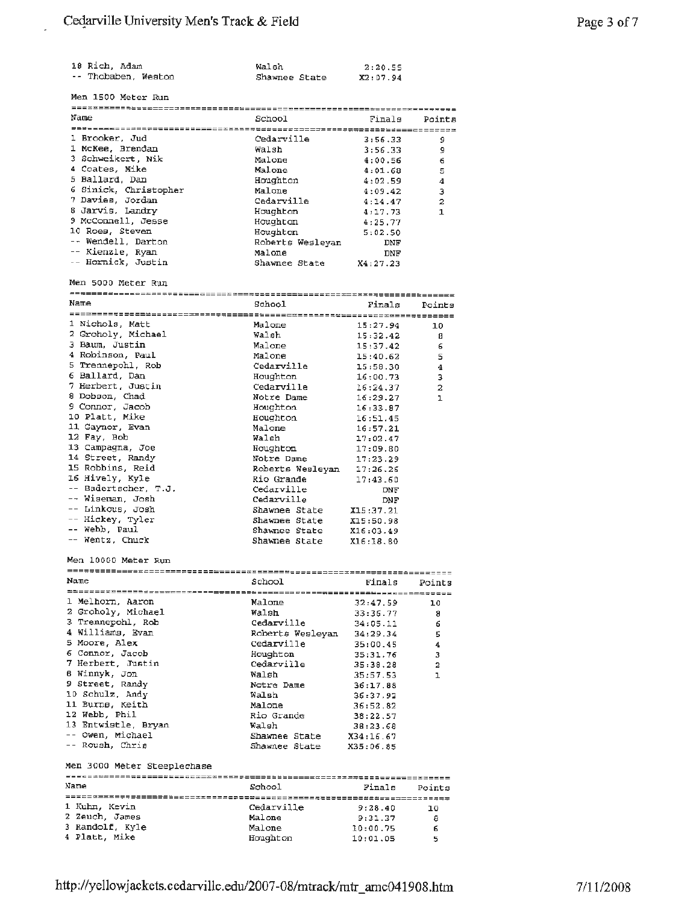| 18 Rich. Adam       | Walsh         | 2:20.55  |
|---------------------|---------------|----------|
| -- Thobaben, Weston | Shawnee State | X2:07.94 |

 $\overline{a}$ 

| Name                  | School           | Finals   | Points         |  |
|-----------------------|------------------|----------|----------------|--|
| =================     |                  |          |                |  |
| 1 Brooker, Jud        | Cedarville       | 3:56.33  | 9              |  |
| 1 McKee, Brendan      | Walsh            | 3:56.33  | 9              |  |
| 3 Schweikert, Nik     | Malone           | 4:00.56  | 6              |  |
| 4 Coates, Mike        | Malone           | 4:01.68  | 5              |  |
| 5 Ballard, Dan        | Houghton         | 4:02.59  | 4              |  |
| 6 Sinick, Christopher | Malone           | 4:09.42  | з              |  |
| 7 Davies, Jordan      | Cedarville       | 4:14.47  | $\overline{a}$ |  |
| 8 Jarvis, Landry      | Houghton         | 4:17.73  |                |  |
| 9 McConnell, Jesse    | Houghton         | 4:25.77  |                |  |
| 10 Roes, Steven       | Houghton         | 5:02.50  |                |  |
| -- Wendell, Darton    | Roberts Wesleyan | DNF      |                |  |
| -- Kienzle, Ryan      | Malone           | DNF      |                |  |
| -- Hornick, Justin    | Shawnee State    | X4:27.23 |                |  |

Men sooo Meter Run

| Name<br>School<br>Finals<br>Points  |                                                                                                                   |                      |                  |  |  |  |  |
|-------------------------------------|-------------------------------------------------------------------------------------------------------------------|----------------------|------------------|--|--|--|--|
|                                     |                                                                                                                   |                      |                  |  |  |  |  |
| 1 Nichols, Matt                     | Malone                                                                                                            | 15:27.94             | 10               |  |  |  |  |
| 2 Groholy, Michael                  | Walsh                                                                                                             | 15:32.42             | 8                |  |  |  |  |
| 3 Baum, Justin                      | Malone                                                                                                            | 15:37.42             | 6                |  |  |  |  |
| 4 Robinson, Paul                    | Malone                                                                                                            | 15:40.62             | 5                |  |  |  |  |
| 5 Trennepohl, Rob                   | Cedarville                                                                                                        | 15:58.30             | $\boldsymbol{4}$ |  |  |  |  |
| 6 Ballard, Dan                      | Houghton                                                                                                          | 16:00.73             | 3                |  |  |  |  |
| 7 Herbert, Justin                   | Cedarville                                                                                                        | 16:24.37             | $\overline{a}$   |  |  |  |  |
| 8 Dobson, Chad                      | Notre Dame                                                                                                        | 16:29.27             | ı                |  |  |  |  |
| 9 Connor, Jacob                     | Houghton                                                                                                          | 16:33.87             |                  |  |  |  |  |
| 10 Platt, Mike                      | Houghton                                                                                                          | 16:51.45             |                  |  |  |  |  |
| 11 Gaynor, Evan                     | Malone                                                                                                            | 16:57.21             |                  |  |  |  |  |
| 12 Fay, Bob                         | Walsh                                                                                                             | 17:02.47             |                  |  |  |  |  |
| 13 Campagna, Joe                    | Houghton                                                                                                          | 17:09.80             |                  |  |  |  |  |
| 14 Street, Randy                    | Notre Dame                                                                                                        | 17:23.29             |                  |  |  |  |  |
| 15 Robbins, Reid                    |                                                                                                                   |                      |                  |  |  |  |  |
| 16 Hively, Kyle                     | Roberts Wesleyan 17:26.26<br>Roberts Wesleyan 17:26.26<br>Rio Grande 17:43.60<br>Cedarville DNF<br>Cedarville DNF |                      |                  |  |  |  |  |
| -- Badertscher, T.J.                |                                                                                                                   |                      |                  |  |  |  |  |
| -- Wiseman, Josh                    |                                                                                                                   |                      |                  |  |  |  |  |
| -- Linkous, Josh                    | Shawnee State                                                                                                     | X15:37.21            |                  |  |  |  |  |
| -- Hickey, Tyler                    | Shawnee State                                                                                                     | X15:50.98            |                  |  |  |  |  |
| -- Webb, Paul                       | shawnee State X16:03.49                                                                                           |                      |                  |  |  |  |  |
| -- Wentz, Chuck                     | Shawnee State                                                                                                     | X16:18.80            |                  |  |  |  |  |
|                                     |                                                                                                                   |                      |                  |  |  |  |  |
| Name                                | School                                                                                                            | Finals               | Points           |  |  |  |  |
|                                     |                                                                                                                   |                      |                  |  |  |  |  |
| 1 Melhorn, Aaron                    | Malone                                                                                                            | 32:47.59             | 10               |  |  |  |  |
| 2 Groholy, Michael                  | Walsh                                                                                                             | 33:36.77             | 8                |  |  |  |  |
| 3 Trennepohl, Rob                   | Cedarville                                                                                                        | 34:05.11             | 6                |  |  |  |  |
| 4 Williams, Evan                    | Roberts Wesleyan 34:29.34                                                                                         |                      | 5                |  |  |  |  |
| 5 Moore, Alex                       | Cedarville                                                                                                        | 35:00.45             | 4                |  |  |  |  |
| 6 Connor, Jacob                     | Houghton                                                                                                          | 35:31.76             | 3                |  |  |  |  |
| 7 Herbert, Justin                   | Cedarville                                                                                                        | 35:38.28             | $\overline{a}$   |  |  |  |  |
| 8 Winnyk, Jon                       | Walsh                                                                                                             | 35:57.53             | ı                |  |  |  |  |
| 9 Street, Randy                     | Notre Dame                                                                                                        | 36:17.88             |                  |  |  |  |  |
| 10 Schulz, Andy                     | Walsh                                                                                                             | 36:37.92             |                  |  |  |  |  |
| 11 Burne, Keith                     | Malone                                                                                                            | 36:52.82             |                  |  |  |  |  |
| 12 Webb, Phil                       |                                                                                                                   | 38:22.57             |                  |  |  |  |  |
| 13 Entwistle, Bryan                 | Rio Grande<br>Walsh                                                                                               | 38:23.68             |                  |  |  |  |  |
| -- Owen, Michael                    | Shawnee State                                                                                                     | X34:16.67            |                  |  |  |  |  |
| -- Roush, Chris                     | Shawnee State                                                                                                     | X35:06.85            |                  |  |  |  |  |
|                                     |                                                                                                                   |                      |                  |  |  |  |  |
| Men 3000 Meter Steeplechase<br>Name | School                                                                                                            | Finals               | Points           |  |  |  |  |
|                                     |                                                                                                                   |                      |                  |  |  |  |  |
| 1 Kuhn, Kevin                       | Cedarville                                                                                                        | 9:28.40              | 10               |  |  |  |  |
| 2 Zeuch, James                      | Malone                                                                                                            | 9:31.37              | 8                |  |  |  |  |
| 3 Randolf, Kyle<br>4 Platt, Mike    | Malone<br>Houghton                                                                                                | 10:00.75<br>10:01.05 | 6<br>5           |  |  |  |  |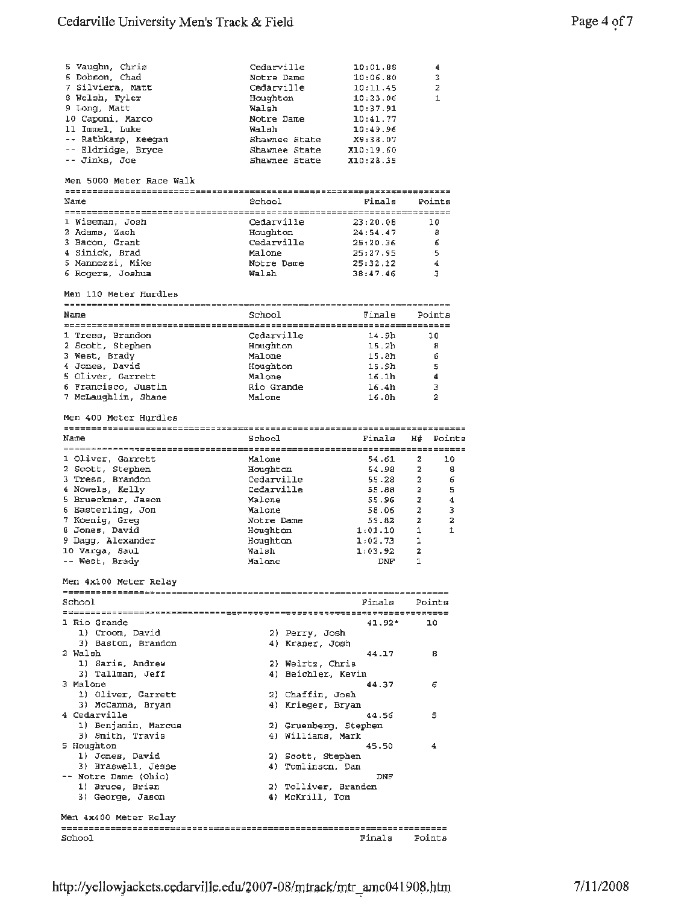## Cedarville University Men's Track & Field Page 4 of 7

| Cedarville    | 10:01.88  | 4              |
|---------------|-----------|----------------|
| Notre Dame    | 10:06.80  | 3              |
| Cedarville    | 10:11.45  | $\overline{2}$ |
| Houghton      | 10:23.06  | $\mathbf{1}$   |
| Walsh         | 10:37.91  |                |
| Notre Dame    | 10:41.77  |                |
| Walah         | 10:49.96  |                |
| Shawnee State | X9:38.07  |                |
| Shawnee State | X10:19.60 |                |
| Shawnee State | X10:28.35 |                |
|               |           |                |

#### Men 5000 Meter Race Walk

|      | _________________________ |            |          |        |  |  |
|------|---------------------------|------------|----------|--------|--|--|
| Name |                           | School     | Finals   | Points |  |  |
|      | ========================= |            |          |        |  |  |
|      | 1 Wiseman, Josh           | Cedarville | 23:20.08 | 10     |  |  |
|      | 2 Adams, Zach             | Houghton   | 24:54.47 | 8      |  |  |
|      | 3 Bacon, Grant            | Cedarville | 25:20.36 | 6      |  |  |
|      | 4 Sinick, Brad            | Malone     | 25:27.95 | 5      |  |  |
|      | 5 Mannozzi, Mike          | Notre Dame | 25:32.12 | 4      |  |  |
|      | 6 Rogers. Joshua          | Walsh      | 38:47.46 |        |  |  |

#### Men 110 Meter Hurdles

|      | ================================== |            |                   |        |  |  |
|------|------------------------------------|------------|-------------------|--------|--|--|
| Name |                                    | School     | Finals            | Points |  |  |
|      |                                    |            |                   |        |  |  |
|      | 1 Tress, Brandon                   | Cedarville | 14.9h             | 10     |  |  |
|      | 2 Scott, Stephen                   | Houghton   | 15.2 <sub>h</sub> | 8      |  |  |
|      | 3 West, Brady                      | Malone     | 15.8 <sub>h</sub> | 6      |  |  |
|      | 4 Jones. David                     | Houghton   | 15.9h             | 5      |  |  |
|      | 5 Oliver, Garrett                  | Malone     | 16.1h             |        |  |  |
|      | 6 Francisco, Justin                | Rio Grande | 16.4h             | 3      |  |  |
|      | 7 McLaughlin, Shane                | Malone     | 16.8 <sub>h</sub> | 2      |  |  |

#### Men 400 Meter Hurdles

| Name               | School     | Finals  |   | H# Points |  |  |
|--------------------|------------|---------|---|-----------|--|--|
|                    |            |         |   |           |  |  |
| 1 Oliver, Garrett  | Malone     | 54.61   | 2 | 10        |  |  |
| 2 Scott, Stephen   | Houghton   | 54.98   | 2 | 8         |  |  |
| 3 Tress, Brandon   | Cedarville | 55.28   | 2 | 6         |  |  |
| 4 Nowels, Kelly    | Cedarville | 55.88   | 2 | 5         |  |  |
| 5 Brueckner, Jason | Malone     | 55.96   | 2 | 4         |  |  |
| 6 Easterling, Jon  | Malone     | 58.06   | 2 | 3         |  |  |
| 7 Koenig, Greg     | Notre Dame | 59.82   | 2 | 2         |  |  |
| 8 Jones, David     | Houghton   | 1:01.10 |   |           |  |  |
| 9 Dagg, Alexander  | Houghton   | 1:02.73 |   |           |  |  |
| 10 Varqa, Saul     | Walsh      | 1:03.92 | 2 |           |  |  |
| -- West, Brady     | Malone     | DNF     |   |           |  |  |

Men 4xl00 Meter Relay

| School                | Finals<br>Points      |
|-----------------------|-----------------------|
|                       |                       |
| 1 Rio Grande          | $41.92*$<br>10        |
| 1) Croom, David       | 2) Perry, Josh        |
| 3) Baston, Brandon    | 4) Kraner, Josh       |
| 2 Walsh               | 44.17<br>8            |
| 1) Saris, Andrew      | 2) Weirtz, Chris      |
| 3) Tallman, Jeff      | 4) Beichler, Kevin    |
| 3 Malone              | 44.37<br>6            |
| 1) Oliver, Garrett    | 2) Chaffin, Josh      |
| 3) McCanna, Bryan     | 4) Krieger, Bryan     |
| 4 Cedarville          | 5<br>44.56            |
| 1) Benjamin, Marcus   | 2) Gruenberg, Stephen |
| 3) Smith, Travis      | 4) Williams, Mark     |
| 5 Houghton            | 45.50<br>4            |
| 1) Jones, David       | 2) Scott, Stephen     |
| 3) Braswell, Jesse    | 4) Tomlinson, Dan     |
| -- Notre Dame (Ohio)  | DNF                   |
| 1) Bruce, Brian       | 2) Tolliver, Brandon  |
| 3) George, Jason      | 4) McKrill, Tom       |
| Men 4x400 Meter Relay |                       |
|                       |                       |

School **Finals** Points Points Points Points Points Points Points Points Points Points Points Points Points Points Points Points Points Points Points Points Points Points Points Points Points Points Points Points Points Poi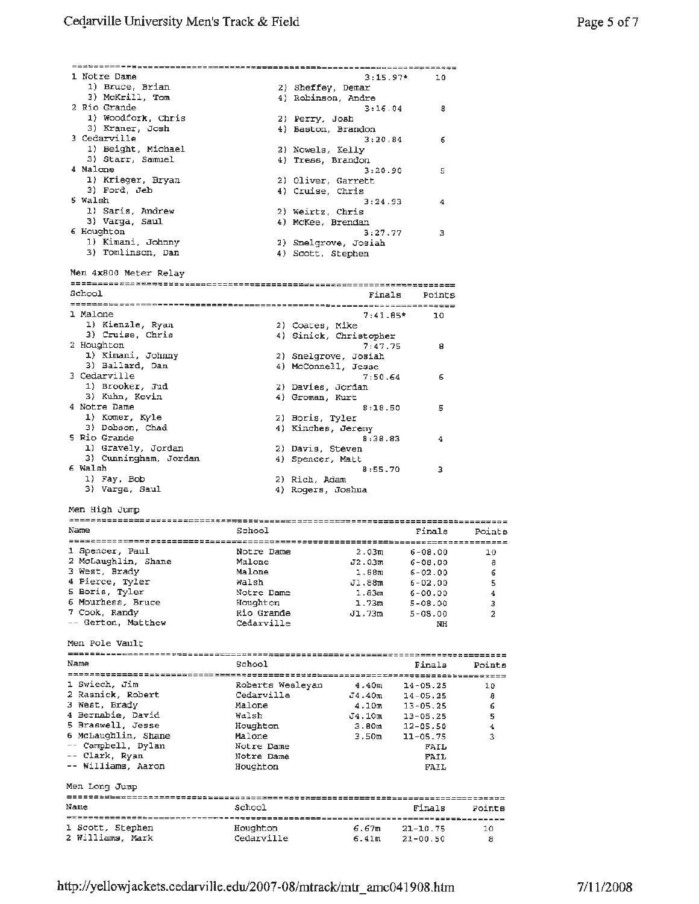| 1 Notre Dame                                                             |                        | $3:15.97*$             | 10                           |                |
|--------------------------------------------------------------------------|------------------------|------------------------|------------------------------|----------------|
| 1) Bruce, Brian                                                          |                        | 2) Sheffey, Demar      |                              |                |
| 3) McKrill, Tom                                                          |                        | 4) Robinson, Andre     |                              |                |
| 2 Rio Grande                                                             |                        | 3:16.04                | 8                            |                |
| 1) Woodfork, Chris                                                       |                        | 2) Perry, Josh         |                              |                |
| 3) Kraner, Josh                                                          |                        | 4) Baston, Brandon     |                              |                |
| 3 Cedarville                                                             |                        | 3:20.84                | 6                            |                |
| 1) Beight, Michael                                                       |                        | 2) Nowels, Kelly       |                              |                |
| 3) Starr, Samuel                                                         |                        | 4) Tress, Brandon      |                              |                |
| 4 Malcme                                                                 |                        | 3:20.90                | 5                            |                |
| 1) Krieger, Bryan                                                        |                        | 2) Oliver, Garrett     |                              |                |
| 3) Ford, Jeb                                                             |                        | 4) Cruise, Chris       |                              |                |
| 5 Walsh                                                                  |                        | 3:24.93                | 4                            |                |
| 1) Saris, Andrew                                                         |                        | 2) Weirtz, Chris       |                              |                |
| 3) Varga, Saul                                                           |                        | 4) McKee, Brendan      |                              |                |
| 6 Houghton                                                               |                        | 3:27.77                |                              |                |
|                                                                          |                        |                        | 3                            |                |
| 1) Kimani, Johnny                                                        |                        | 2) Snelgrove, Josiah   |                              |                |
| 3) Tomlinson, Dan                                                        |                        | 4) Scott, Stephen      |                              |                |
|                                                                          |                        |                        |                              |                |
| Men 4x800 Meter Relay                                                    |                        |                        |                              |                |
|                                                                          |                        |                        |                              |                |
| School                                                                   |                        |                        | Finals Points                |                |
| <u> 7998826577822228989988888888622283889898989888888882222228888988</u> |                        |                        |                              |                |
| 1 Malone                                                                 |                        | 7:41.85*               | 10                           |                |
| 1) Kienzle, Ryan                                                         |                        | 2) Coates, Mike        |                              |                |
| 3) Cruise, Chris                                                         |                        | 4) Sinick, Christopher |                              |                |
| 2 Houghton                                                               |                        | 7:47.75                | 8                            |                |
| 1) Kimani, Johnny                                                        |                        | 2) Snelgrove, Josiah   |                              |                |
| 3) Ballard, Dan                                                          |                        | 4) McConnell, Jesse    |                              |                |
| 3 Cedarville                                                             |                        | 7:50.64                | 6                            |                |
| 1) Brooker, Jud                                                          |                        | 2) Davies, Jordan      |                              |                |
|                                                                          |                        |                        |                              |                |
| 3) Kuhn, Kevin                                                           |                        | 4) Groman, Kurt        |                              |                |
| 4 Notre Dame                                                             |                        | 8:18.50                | 5                            |                |
| 1) Komer, Kyle                                                           |                        | 2) Boris, Tyler        |                              |                |
| 3) Dobson, Chad                                                          |                        | 4) Kinches, Jeremy     |                              |                |
| 5 Rio Grande                                                             |                        | 8:38.83                | 4                            |                |
| 1) Gravely, Jordan                                                       |                        | 2) Davis, Steven       |                              |                |
| 3) Cunningham, Jordan                                                    |                        | 4) Spencer, Matt       |                              |                |
| 6 Walsh                                                                  |                        | 8:55.70                | 3                            |                |
| 1) Fay, Bob                                                              | 2) Rich, Adam          |                        |                              |                |
| 3) Varga, Saul                                                           |                        | 4) Rogers, Joshua      |                              |                |
|                                                                          |                        |                        |                              |                |
| Men High Jump                                                            |                        |                        |                              |                |
|                                                                          |                        |                        |                              |                |
| Name                                                                     | School                 |                        | Finals                       | Points         |
|                                                                          |                        |                        |                              |                |
|                                                                          |                        |                        |                              |                |
| 1 Spencer, Paul                                                          | Notre Dame             | 2.03ա                  | $6 - 08.00$                  | 10             |
| 2 McLaughlin, Shane                                                      | Malone                 | J2.03m                 | 6-08.00                      | - 8            |
| 3 West, Brady                                                            | Malone                 | 1.88π                  | $6 - 02.00$                  | 6              |
| 4 Pierce, Tyler                                                          | Walsh                  | J1.88m                 | 6-02.00                      | 5 <sub>1</sub> |
| 5 Boris, Tyler                                                           | Notre Dame             | 1.83m                  | $6 - 00.00$                  | 4              |
| 6 Mourhess, Bruce                                                        | Houghton               | 1.73m                  | $5 - 08.00$                  | з              |
| 7 Cook, Randy                                                            | Rio Grande             | J1,73m                 | $5 - 05.00$                  | 2              |
| -- Gerton, Matthew                                                       | Cedarville             |                        | NH                           |                |
|                                                                          |                        |                        |                              |                |
| Men Pole Vault                                                           |                        |                        |                              |                |
|                                                                          |                        |                        |                              |                |
|                                                                          |                        |                        |                              |                |
|                                                                          |                        |                        |                              |                |
| Name                                                                     | School                 |                        | Finals                       | Points         |
|                                                                          |                        |                        |                              |                |
| 1 Swiech, Jim                                                            | Roberts Wesleyan       | 4.40π                  | $14 - 05.25$                 | 10             |
| 2 Rasnick, Robert                                                        | Cedarville             | J4.40m                 | $14 - 05.25$                 | a              |
| 3 West, Brady                                                            | Malone                 | 4.10m                  | $13 - 05.25$                 | 6              |
| 4 Bernabie, David                                                        | Walsh                  | J4.10m                 | $13 - 05.25$                 | 5              |
| 5 Braswell, Jesse                                                        | Houghton               | 3.80m                  | $12 - 05.50$                 | 4              |
| 6 McLaughlin, Shane                                                      | Malone                 | 3.50m                  | 11-05.75                     | 3              |
| -- Campbell, Dylan                                                       | Notre Dame             |                        | FAIL                         |                |
| -- Clark, Ryan                                                           | Notre Dame             |                        | FAIL                         |                |
| -- Williams, Aaron                                                       | Houghton               |                        | FAIL                         |                |
|                                                                          |                        |                        |                              |                |
| Men Long Jump                                                            |                        |                        |                              |                |
|                                                                          |                        |                        |                              |                |
| Name                                                                     |                        |                        |                              |                |
|                                                                          | School                 |                        | Finals                       | Points         |
|                                                                          |                        |                        |                              |                |
| 1 Scott, Stephen<br>2 Williams, Mark                                     | Houghton<br>Cedarville | 6.67m<br>6.41m         | $21 - 10.75$<br>$21 - 00.50$ | 10<br>8        |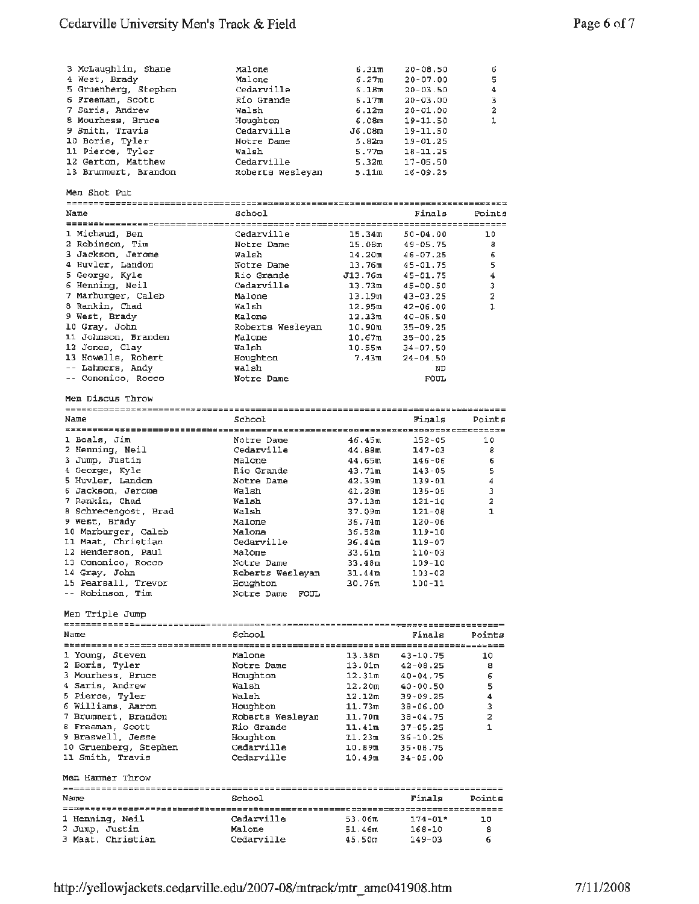## Cedarville University Men's Track & Field

| 3 McLaughlin, Shane  | Malone           | 6.31m              | $20 - 08.50$ | 6      |
|----------------------|------------------|--------------------|--------------|--------|
| 4 West, Brady        | Malone           | 6.27m              | $20 - 07.00$ | 5      |
| 5 Gruenberg, Stephen | Cedarville       | 6.18m              | $20 - 03.50$ | 4      |
| 6 Freeman, Scott     | Rio Grande       | 6.17m              | $20 - 03.00$ | 3      |
| 7 Saris, Andrew      | Walsh            | 6.12m              | $20 - 01.00$ | 2      |
| 8 Mourhess, Bruce    | Houghton         | 6.08m              | 19-11.50     | 1      |
| 9 Smith, Travis      | Cedarville       | J6.08m             | 19-11.50     |        |
| 10 Boris, Tyler      | Notre Dame       | 5.82m              | $19 - 01.25$ |        |
| 11 Pierce, Tyler     | Walsh            | 5.77m              | $18 - 11.25$ |        |
| 12 Gerton, Matthew   | Cedarville       | 5.32m              | $17 - 05.50$ |        |
| 13 Brummert, Brandon | Roberts Wesleyan | 5.11m              | $16 - 09.25$ |        |
| Men Shot Put         |                  |                    |              |        |
| Name                 | School           |                    | Finals       | Points |
|                      |                  |                    |              |        |
| 1 Michaud, Ben       | Cedarville       | 15.34m             | $50 - 04.00$ | 10     |
| 2 Robinson, Tim      | Notre Dame       | 15.08m             | $49 - 05.75$ | 8      |
| 3 Jackson, Jerome    | Walsh            | 14.20 <sub>m</sub> | $46 - 07.25$ | 6      |
| 4 Huvler, Landon     | Notre Dame       | 13.76m             | $45 - 01.75$ | 5      |
| 5 George, Kyle       | Rio Grande       | J13.76m            | $45 - 01.75$ | 4      |
| 6 Henning, Neil      | Cedarville       | 13.73m             | $45 - 00.50$ | 3      |
| 7 Marburger, Caleb   | Malone           | 13.19m             | $43 - 03.25$ | 2      |
| 8 Rankin, Chad       | Walsh            | 12.95m             | $42 - 06.00$ | 1      |
| 9 West, Brady        | Malone           | 12.33m             | $40 - 05.50$ |        |
| 10 Gray, John        | Roberts Weslevan | 10.90m             | $35 - 09.25$ |        |
| 11 Johnson, Branden  | Malone           | 10.67m             | $35 - 00.25$ |        |
| 12 Jones, Clay       | Walsh            | 10.55m             | $34 - 07.50$ |        |
| 13 Howells, Robert   | Houghton         | 7.43m              | $24 - 04.50$ |        |
| -- Lahmers, Andy     | Walsh            |                    | ND           |        |
| -- Cononico, Rocco   | Notre Dame       |                    | <b>FOUL</b>  |        |
| Men Discus Throw     |                  |                    |              |        |
| Name                 | School           |                    | Finals       | Points |
|                      |                  |                    |              |        |
| 1 Boals, Jim         | Notre Dame       | 46.45m             | $152 - 05$   | 10     |
| 2 Henning, Neil      | Cedarville       | 44.68m             | 147-03       | 8      |
| 3 Jump, Justin       | Malone           | 44.65m             | $146 - 06$   | 6      |
| 4 George, Kyle       | Rio Grande       | 43.71m             | $143 - 05$   | 5      |
| 5 Huvler, Landon     | Notre Dame       | 42.39m             | $139 - 01$   | 4      |
| 6 Jackson, Jerome    | Walsh            | 41.28m             | $135 - 05$   | 3      |
| 7 Rankin, Chad       | Walsh            | 37.13m             | 121-10       | 2      |
| 8 Schrecengost, Brad | Walsh            | 37.09m             | $121 - 08$   | 1      |
| 9 West, Brady        | Malone           | 36.74m             | $120 - 06$   |        |
| 10 Marburger, Caleb  | Malone           | 36.52m             | 119-10       |        |

| Name                         | School           |                    | Finals     | Points         |
|------------------------------|------------------|--------------------|------------|----------------|
| ---------------------------- |                  |                    |            | =============  |
| 1 Boals, Jim                 | Notre Dame       | 46.45m             | $152 - 05$ | 10             |
| 2 Henning, Neil              | Cedarville       | 44.B8m             | $147 - 03$ | 8              |
| 3 Jump, Justin               | Malone           | 44.65m             | $146 - 06$ | 6              |
| 4 George, Kyle               | Rio Grande       | 43.71m             | $143 - 05$ | 5              |
| 5 Huvler, Landon             | Notre Dame       | 42.39m             | $139 - 01$ | 4              |
| 6 Jackson, Jerome            | Walsh            | 41.28m             | $135 - 05$ | 3              |
| 7 Rankin, Chad               | Walsh            | 37.13m             | $121 - 10$ | $\overline{a}$ |
| 8 Schrecengost, Brad         | Walsh            | 37.09m             | $121 - 08$ | $\mathbf{1}$   |
| 9 West, Brady                | Malone           | 36.74m             | $120 - 06$ |                |
| 10 Marburger, Caleb          | Malone           | 36.52 m            | 119-10     |                |
| 11 Maat, Christian           | Cedarville       | 36.44m             | $119 - 07$ |                |
| 12 Henderson, Paul           | Malone           | 33.61m             | 110-03     |                |
| 13 Cononico, Rocco           | Notre Dame       | 33.48m             | $109 - 10$ |                |
| 14 Gray, John                | Roberts Wesleyan | 31.44m             | $103 - 02$ |                |
| 15 Pearsall, Trevor          | Houghton         | 30.76 <sub>π</sub> | $100 - 11$ |                |
| -- Robinson, Tim             | Notre Dame FOUL  |                    |            |                |

Men Triple Jump

| Name                                                | School           |                             | Finals       | Points         |
|-----------------------------------------------------|------------------|-----------------------------|--------------|----------------|
| --------------------------                          |                  | =========================== |              |                |
| 1 Young, Steven                                     | Malone           | 13.38m                      | $43 - 10.75$ | 10             |
| 2 Boris, Tyler                                      | Notre Dame       | 13.01m                      | 42-08.25     | 8              |
| 3 Mourhess, Bruce                                   | Houghton         | 12.31m                      | $40 - 04.75$ | 6              |
| 4 Saris, Andrew                                     | Walsh            | 12.20m                      | $40 - 00.50$ | 5              |
| 5 Pierce, Tyler                                     | Walsh            | 12.12m                      | $39 - 09.25$ | 4              |
| 6 Williams, Aaron                                   | Houghton         | 11.73 <sub>m</sub>          | $38 - 06.00$ | 3              |
| 7 Brummert, Brandon                                 | Roberts Wesleyan | $11.70$ m                   | $38 - 04.75$ | $\overline{a}$ |
| 8 Freeman, Scott                                    | Rio Grande       | 11.41m                      | $37 - 05.25$ |                |
| 9 Braswell, Jesse                                   | Houghton         | 11.23m                      | $36 - 10.25$ |                |
| 10 Gruenberg, Stephen                               | Cedarville       | 10.89m                      | $35 - 00.75$ |                |
| 11 Smith, Travis                                    | Cedarville       | 10.49 <sub>m</sub>          | $34 - 05.00$ |                |
| Men Hammer Throw                                    |                  |                             |              |                |
| =====================<br>Name                       | School           |                             | Finals       | Points         |
|                                                     |                  |                             |              |                |
| ================================<br>1 Henning, Neil | Cedarville       | 53.06 <sub>m</sub>          | $174 - 01*$  | 10             |
| 2 Jump, Justin                                      | Malone           | 51.46m                      | 168-10       | 8              |
| 3 Maat, Christian                                   | Cedarville       | 45.50m                      | $149 - 03$   | 6              |